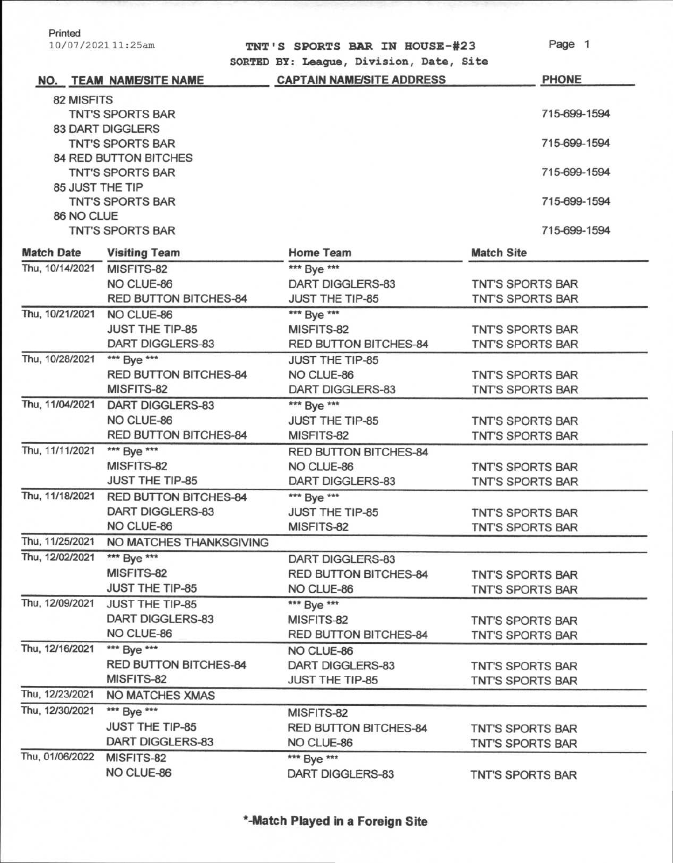Printed

10/07/202111:25am

**TNT'S SPORTS BAR IN HOUSE-#23 SORTED BY: League, Division, Date, Site**  Page 1

|                   | NO. TEAM NAME/SITE NAME      | <b>CAPTAIN NAME/SITE ADDRESS</b> | <b>PHONE</b>            |
|-------------------|------------------------------|----------------------------------|-------------------------|
| 82 MISFITS        |                              |                                  |                         |
|                   | <b>TNT'S SPORTS BAR</b>      |                                  | 715-699-1594            |
|                   | <b>83 DART DIGGLERS</b>      |                                  |                         |
|                   | <b>TNT'S SPORTS BAR</b>      |                                  | 715-699-1594            |
|                   | 84 RED BUTTON BITCHES        |                                  |                         |
|                   | <b>TNT'S SPORTS BAR</b>      |                                  | 715-699-1594            |
| 85 JUST THE TIP   |                              |                                  |                         |
|                   | <b>TNT'S SPORTS BAR</b>      |                                  | 715-699-1594            |
| 86 NO CLUE        |                              |                                  |                         |
|                   | <b>TNT'S SPORTS BAR</b>      |                                  | 715-699-1594            |
| <b>Match Date</b> | <b>Visiting Team</b>         | <b>Home Team</b>                 | <b>Match Site</b>       |
| Thu, 10/14/2021   | MISFITS-82                   | *** Bye ***                      |                         |
|                   | NO CLUE-86                   | DART DIGGLERS-83                 | <b>TNT'S SPORTS BAR</b> |
|                   | <b>RED BUTTON BITCHES-84</b> | <b>JUST THE TIP-85</b>           | <b>TNT'S SPORTS BAR</b> |
| Thu, 10/21/2021   | NO CLUE-86                   | *** Bye ***                      |                         |
|                   | <b>JUST THE TIP-85</b>       | MISFITS-82                       | <b>TNT'S SPORTS BAR</b> |
|                   | <b>DART DIGGLERS-83</b>      | RED BUTTON BITCHES-84            | <b>TNT'S SPORTS BAR</b> |
| Thu, 10/28/2021   | *** Bye ***                  | <b>JUST THE TIP-85</b>           |                         |
|                   | <b>RED BUTTON BITCHES-84</b> | NO CLUE-86                       | <b>TNT'S SPORTS BAR</b> |
|                   | MISFITS-82                   | DART DIGGLERS-83                 | <b>TNT'S SPORTS BAR</b> |
| Thu, 11/04/2021   | <b>DART DIGGLERS-83</b>      | *** Bye ***                      |                         |
|                   | NO CLUE-86                   | JUST THE TIP-85                  | TNT'S SPORTS BAR        |
|                   | <b>RED BUTTON BITCHES-84</b> | MISFITS-82                       | <b>TNT'S SPORTS BAR</b> |
| Thu, 11/11/2021   | *** Bye ***                  | <b>RED BUTTON BITCHES-84</b>     |                         |
|                   | MISFITS-82                   | NO CLUE-86                       | <b>TNT'S SPORTS BAR</b> |
|                   | <b>JUST THE TIP-85</b>       | DART DIGGLERS-83                 | <b>TNT'S SPORTS BAR</b> |
| Thu, 11/18/2021   | <b>RED BUTTON BITCHES-84</b> | *** Bye ***                      |                         |
|                   | <b>DART DIGGLERS-83</b>      | <b>JUST THE TIP-85</b>           | <b>TNT'S SPORTS BAR</b> |
|                   | NO CLUE-86                   | MISFITS-82                       | TNT'S SPORTS BAR        |
| Thu, 11/25/2021   | NO MATCHES THANKSGIVING      |                                  |                         |
| Thu, 12/02/2021   | *** Bye ***                  | DART DIGGLERS-83                 |                         |
|                   | MISFITS-82                   | RED BUTTON BITCHES-84            | TNT'S SPORTS BAR        |
|                   | <b>JUST THE TIP-85</b>       | NO CLUE-86                       | <b>TNT'S SPORTS BAR</b> |
| Thu, 12/09/2021   | <b>JUST THE TIP-85</b>       | *** Bye ***                      |                         |
|                   | DART DIGGLERS-83             | MISFITS-82                       | <b>TNT'S SPORTS BAR</b> |
|                   | NO CLUE-86                   | <b>RED BUTTON BITCHES-84</b>     | <b>TNT'S SPORTS BAR</b> |
| Thu, 12/16/2021   | *** Bye ***                  | NO CLUE-86                       |                         |
|                   | <b>RED BUTTON BITCHES-84</b> | <b>DART DIGGLERS-83</b>          | TNT'S SPORTS BAR        |
|                   | MISFITS-82                   | <b>JUST THE TIP-85</b>           | <b>TNT'S SPORTS BAR</b> |
| Thu, 12/23/2021   | <b>NO MATCHES XMAS</b>       |                                  |                         |
| Thu, 12/30/2021   | *** Bye ***                  | MISFITS-82                       |                         |
|                   | <b>JUST THE TIP-85</b>       | RED BUTTON BITCHES-84            | TNT'S SPORTS BAR        |
|                   | DART DIGGLERS-83             | NO CLUE-86                       | <b>TNT'S SPORTS BAR</b> |
| Thu, 01/06/2022   | MISFITS-82                   | *** Bye ***                      |                         |
|                   | NO CLUE-86                   | DART DIGGLERS-83                 | <b>TNT'S SPORTS BAR</b> |
|                   |                              |                                  |                         |